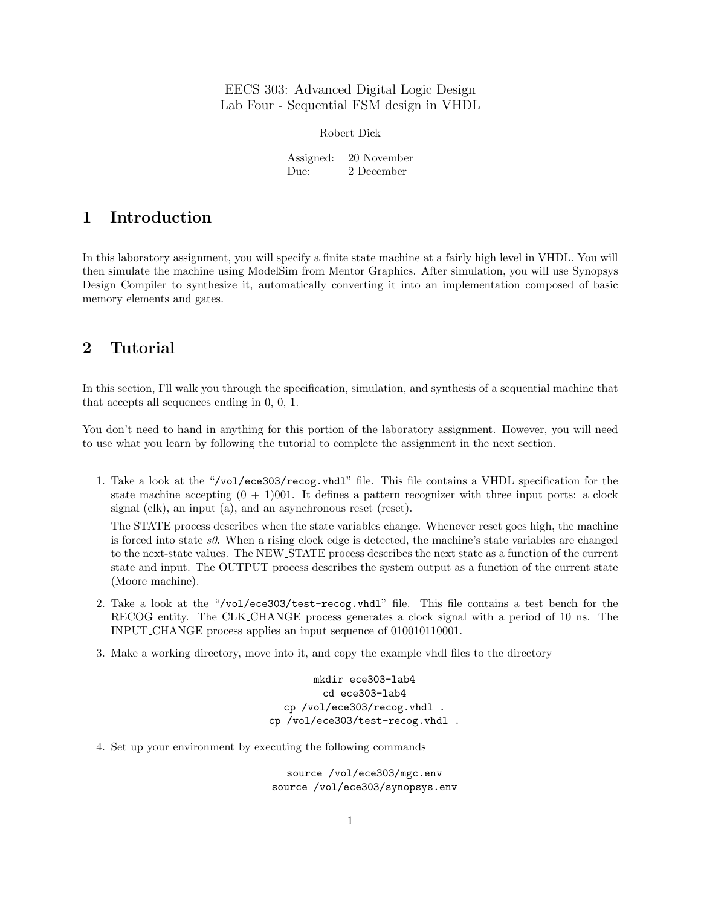EECS 303: Advanced Digital Logic Design Lab Four - Sequential FSM design in VHDL

Robert Dick

Assigned: 20 November Due: 2 December

# 1 Introduction

In this laboratory assignment, you will specify a finite state machine at a fairly high level in VHDL. You will then simulate the machine using ModelSim from Mentor Graphics. After simulation, you will use Synopsys Design Compiler to synthesize it, automatically converting it into an implementation composed of basic memory elements and gates.

# 2 Tutorial

In this section, I'll walk you through the specification, simulation, and synthesis of a sequential machine that that accepts all sequences ending in 0, 0, 1.

You don't need to hand in anything for this portion of the laboratory assignment. However, you will need to use what you learn by following the tutorial to complete the assignment in the next section.

1. Take a look at the "/vol/ece303/recog.vhdl" file. This file contains a VHDL specification for the state machine accepting  $(0 + 1)001$ . It defines a pattern recognizer with three input ports: a clock signal (clk), an input (a), and an asynchronous reset (reset).

The STATE process describes when the state variables change. Whenever reset goes high, the machine is forced into state s0. When a rising clock edge is detected, the machine's state variables are changed to the next-state values. The NEW STATE process describes the next state as a function of the current state and input. The OUTPUT process describes the system output as a function of the current state (Moore machine).

- 2. Take a look at the "/vol/ece303/test-recog.vhdl" file. This file contains a test bench for the RECOG entity. The CLK CHANGE process generates a clock signal with a period of 10 ns. The INPUT CHANGE process applies an input sequence of 010010110001.
- 3. Make a working directory, move into it, and copy the example vhdl files to the directory

mkdir ece303-lab4 cd ece303-lab4 cp /vol/ece303/recog.vhdl . cp /vol/ece303/test-recog.vhdl .

4. Set up your environment by executing the following commands

source /vol/ece303/mgc.env source /vol/ece303/synopsys.env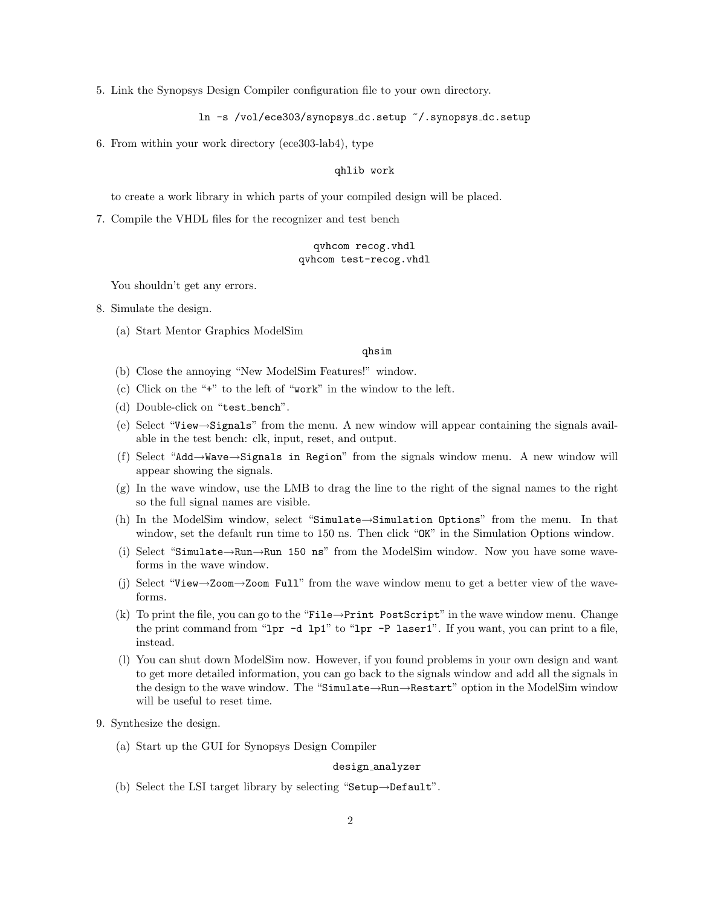5. Link the Synopsys Design Compiler configuration file to your own directory.

```
ln -s /vol/ece303/synopsys dc.setup ~/.synopsys dc.setup
```
6. From within your work directory (ece303-lab4), type

#### qhlib work

to create a work library in which parts of your compiled design will be placed.

7. Compile the VHDL files for the recognizer and test bench

### qvhcom recog.vhdl qvhcom test-recog.vhdl

You shouldn't get any errors.

- 8. Simulate the design.
	- (a) Start Mentor Graphics ModelSim

#### qhsim

- (b) Close the annoying "New ModelSim Features!" window.
- (c) Click on the "+" to the left of "work" in the window to the left.
- (d) Double-click on "test bench".
- (e) Select "View→Signals" from the menu. A new window will appear containing the signals available in the test bench: clk, input, reset, and output.
- (f) Select "Add→Wave→Signals in Region" from the signals window menu. A new window will appear showing the signals.
- (g) In the wave window, use the LMB to drag the line to the right of the signal names to the right so the full signal names are visible.
- (h) In the ModelSim window, select "Simulate→Simulation Options" from the menu. In that window, set the default run time to 150 ns. Then click "OK" in the Simulation Options window.
- (i) Select "Simulate→Run→Run 150 ns" from the ModelSim window. Now you have some waveforms in the wave window.
- (j) Select "View→Zoom→Zoom Full" from the wave window menu to get a better view of the waveforms.
- (k) To print the file, you can go to the "File→Print PostScript" in the wave window menu. Change the print command from " $1pr -d 1p1$ " to " $1pr -P 1aser1$ ". If you want, you can print to a file, instead.
- (l) You can shut down ModelSim now. However, if you found problems in your own design and want to get more detailed information, you can go back to the signals window and add all the signals in the design to the wave window. The "Simulate→Run→Restart" option in the ModelSim window will be useful to reset time.
- 9. Synthesize the design.
	- (a) Start up the GUI for Synopsys Design Compiler

#### design analyzer

(b) Select the LSI target library by selecting "Setup→Default".